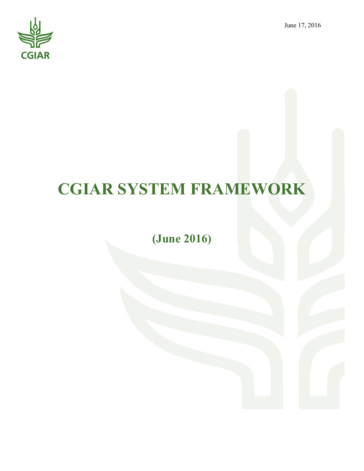June 17, 2016



# **CGIAR SYSTEM FRAMEWORK**

# **(June 2016)**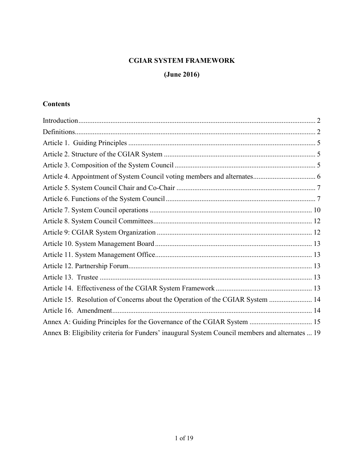# **CGIAR SYSTEM FRAMEWORK**

# **(June 2016)**

# **Contents**

| Article 15. Resolution of Concerns about the Operation of the CGIAR System  14                 |  |
|------------------------------------------------------------------------------------------------|--|
|                                                                                                |  |
|                                                                                                |  |
| Annex B: Eligibility criteria for Funders' inaugural System Council members and alternates  19 |  |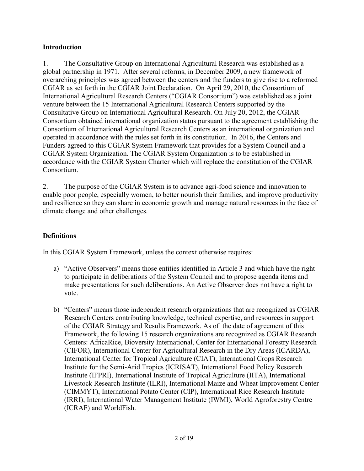#### <span id="page-2-0"></span>**Introduction**

1. The Consultative Group on International Agricultural Research was established as a global partnership in 1971. After several reforms, in December 2009, a new framework of overarching principles was agreed between the centers and the funders to give rise to a reformed CGIAR as set forth in the CGIAR Joint Declaration. On April 29, 2010, the Consortium of International Agricultural Research Centers ("CGIAR Consortium") was established as a joint venture between the 15 International Agricultural Research Centers supported by the Consultative Group on International Agricultural Research. On July 20, 2012, the CGIAR Consortium obtained international organization status pursuant to the agreement establishing the Consortium of International Agricultural Research Centers as an international organization and operated in accordance with the rules set forth in its constitution. In 2016, the Centers and Funders agreed to this CGIAR System Framework that provides for a System Council and a CGIAR System Organization. The CGIAR System Organization is to be established in accordance with the CGIAR System Charter which will replace the constitution of the CGIAR Consortium.

2. The purpose of the CGIAR System is to advance agri-food science and innovation to enable poor people, especially women, to better nourish their families, and improve productivity and resilience so they can share in economic growth and manage natural resources in the face of climate change and other challenges.

# <span id="page-2-1"></span>**Definitions**

In this CGIAR System Framework, unless the context otherwise requires:

- a) "Active Observers" means those entities identified in Article 3 and which have the right to participate in deliberations of the System Council and to propose agenda items and make presentations for such deliberations. An Active Observer does not have a right to vote.
- b) "Centers" means those independent research organizations that are recognized as CGIAR Research Centers contributing knowledge, technical expertise, and resources in support of the CGIAR Strategy and Results Framework. As of the date of agreement of this Framework, the following 15 research organizations are recognized as CGIAR Research Centers: AfricaRice, Bioversity International, Center for International Forestry Research (CIFOR), International Center for Agricultural Research in the Dry Areas (ICARDA), International Center for Tropical Agriculture (CIAT), International Crops Research Institute for the Semi-Arid Tropics (ICRISAT), International Food Policy Research Institute (IFPRI), International Institute of Tropical Agriculture (IITA), International Livestock Research Institute (ILRI), International Maize and Wheat Improvement Center (CIMMYT), International Potato Center (CIP), International Rice Research Institute (IRRI), International Water Management Institute (IWMI), World Agroforestry Centre (ICRAF) and WorldFish.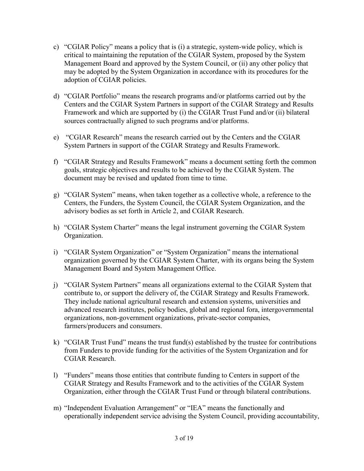- c) "CGIAR Policy" means a policy that is (i) a strategic, system-wide policy, which is critical to maintaining the reputation of the CGIAR System, proposed by the System Management Board and approved by the System Council, or (ii) any other policy that may be adopted by the System Organization in accordance with its procedures for the adoption of CGIAR policies.
- d) "CGIAR Portfolio" means the research programs and/or platforms carried out by the Centers and the CGIAR System Partners in support of the CGIAR Strategy and Results Framework and which are supported by (i) the CGIAR Trust Fund and/or (ii) bilateral sources contractually aligned to such programs and/or platforms.
- e) "CGIAR Research" means the research carried out by the Centers and the CGIAR System Partners in support of the CGIAR Strategy and Results Framework.
- f) "CGIAR Strategy and Results Framework" means a document setting forth the common goals, strategic objectives and results to be achieved by the CGIAR System. The document may be revised and updated from time to time.
- g) "CGIAR System" means, when taken together as a collective whole, a reference to the Centers, the Funders, the System Council, the CGIAR System Organization, and the advisory bodies as set forth in Article 2, and CGIAR Research.
- h) "CGIAR System Charter" means the legal instrument governing the CGIAR System Organization.
- i) "CGIAR System Organization" or "System Organization" means the international organization governed by the CGIAR System Charter, with its organs being the System Management Board and System Management Office.
- j) "CGIAR System Partners" means all organizations external to the CGIAR System that contribute to, or support the delivery of, the CGIAR Strategy and Results Framework. They include national agricultural research and extension systems, universities and advanced research institutes, policy bodies, global and regional fora, intergovernmental organizations, non-government organizations, private-sector companies, farmers/producers and consumers.
- k) "CGIAR Trust Fund" means the trust fund(s) established by the trustee for contributions from Funders to provide funding for the activities of the System Organization and for CGIAR Research.
- l) "Funders" means those entities that contribute funding to Centers in support of the CGIAR Strategy and Results Framework and to the activities of the CGIAR System Organization, either through the CGIAR Trust Fund or through bilateral contributions.
- m) "Independent Evaluation Arrangement" or "IEA" means the functionally and operationally independent service advising the System Council, providing accountability,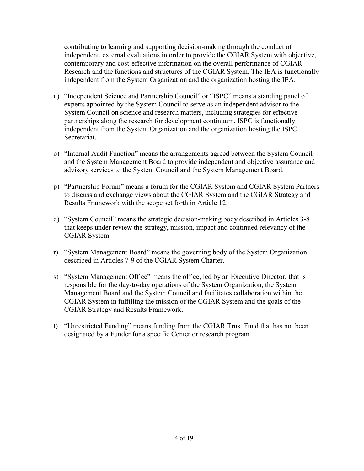contributing to learning and supporting decision-making through the conduct of independent, external evaluations in order to provide the CGIAR System with objective, contemporary and cost-effective information on the overall performance of CGIAR Research and the functions and structures of the CGIAR System. The IEA is functionally independent from the System Organization and the organization hosting the IEA.

- n) "Independent Science and Partnership Council" or "ISPC" means a standing panel of experts appointed by the System Council to serve as an independent advisor to the System Council on science and research matters, including strategies for effective partnerships along the research for development continuum. ISPC is functionally independent from the System Organization and the organization hosting the ISPC Secretariat.
- o) "Internal Audit Function" means the arrangements agreed between the System Council and the System Management Board to provide independent and objective assurance and advisory services to the System Council and the System Management Board.
- p) "Partnership Forum" means a forum for the CGIAR System and CGIAR System Partners to discuss and exchange views about the CGIAR System and the CGIAR Strategy and Results Framework with the scope set forth in Article 12.
- q) "System Council" means the strategic decision-making body described in Articles 3-8 that keeps under review the strategy, mission, impact and continued relevancy of the CGIAR System.
- r) "System Management Board" means the governing body of the System Organization described in Articles 7-9 of the CGIAR System Charter.
- s) "System Management Office" means the office, led by an Executive Director, that is responsible for the day-to-day operations of the System Organization, the System Management Board and the System Council and facilitates collaboration within the CGIAR System in fulfilling the mission of the CGIAR System and the goals of the CGIAR Strategy and Results Framework.
- t) "Unrestricted Funding" means funding from the CGIAR Trust Fund that has not been designated by a Funder for a specific Center or research program.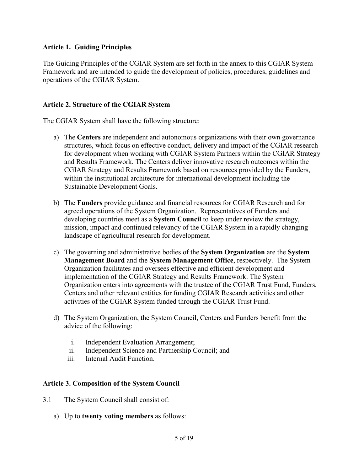#### <span id="page-5-0"></span>**Article 1. Guiding Principles**

The Guiding Principles of the CGIAR System are set forth in the annex to this CGIAR System Framework and are intended to guide the development of policies, procedures, guidelines and operations of the CGIAR System.

#### <span id="page-5-1"></span>**Article 2. Structure of the CGIAR System**

The CGIAR System shall have the following structure:

- a) The **Centers** are independent and autonomous organizations with their own governance structures, which focus on effective conduct, delivery and impact of the CGIAR research for development when working with CGIAR System Partners within the CGIAR Strategy and Results Framework. The Centers deliver innovative research outcomes within the CGIAR Strategy and Results Framework based on resources provided by the Funders, within the institutional architecture for international development including the Sustainable Development Goals.
- b) The **Funders** provide guidance and financial resources for CGIAR Research and for agreed operations of the System Organization. Representatives of Funders and developing countries meet as a **System Council** to keep under review the strategy, mission, impact and continued relevancy of the CGIAR System in a rapidly changing landscape of agricultural research for development.
- c) The governing and administrative bodies of the **System Organization** are the **System Management Board** and the **System Management Office**, respectively. The System Organization facilitates and oversees effective and efficient development and implementation of the CGIAR Strategy and Results Framework. The System Organization enters into agreements with the trustee of the CGIAR Trust Fund, Funders, Centers and other relevant entities for funding CGIAR Research activities and other activities of the CGIAR System funded through the CGIAR Trust Fund.
- d) The System Organization, the System Council, Centers and Funders benefit from the advice of the following:
	- i. Independent Evaluation Arrangement;
	- ii. Independent Science and Partnership Council; and
	- iii. Internal Audit Function.

#### <span id="page-5-2"></span>**Article 3. Composition of the System Council**

- 3.1 The System Council shall consist of:
	- a) Up to **twenty voting members** as follows: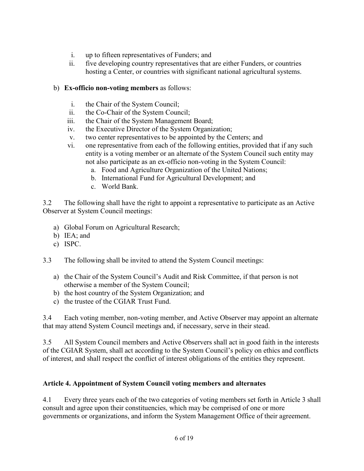- i. up to fifteen representatives of Funders; and
- ii. five developing country representatives that are either Funders, or countries hosting a Center, or countries with significant national agricultural systems.

# b) **Ex-officio non-voting members** as follows:

- i. the Chair of the System Council;
- ii. the Co-Chair of the System Council;
- iii. the Chair of the System Management Board;
- iv. the Executive Director of the System Organization;
- v. two center representatives to be appointed by the Centers; and
- vi. one representative from each of the following entities, provided that if any such entity is a voting member or an alternate of the System Council such entity may not also participate as an ex-officio non-voting in the System Council:
	- a. Food and Agriculture Organization of the United Nations;
	- b. International Fund for Agricultural Development; and
	- c. World Bank.

3.2 The following shall have the right to appoint a representative to participate as an Active Observer at System Council meetings:

- a) Global Forum on Agricultural Research;
- b) IEA; and
- c) ISPC.
- 3.3 The following shall be invited to attend the System Council meetings:
	- a) the Chair of the System Council's Audit and Risk Committee, if that person is not otherwise a member of the System Council;
	- b) the host country of the System Organization; and
	- c) the trustee of the CGIAR Trust Fund.

3.4 Each voting member, non-voting member, and Active Observer may appoint an alternate that may attend System Council meetings and, if necessary, serve in their stead.

3.5 All System Council members and Active Observers shall act in good faith in the interests of the CGIAR System, shall act according to the System Council's policy on ethics and conflicts of interest, and shall respect the conflict of interest obligations of the entities they represent.

#### <span id="page-6-0"></span>**Article 4. Appointment of System Council voting members and alternates**

4.1 Every three years each of the two categories of voting members set forth in Article 3 shall consult and agree upon their constituencies, which may be comprised of one or more governments or organizations, and inform the System Management Office of their agreement.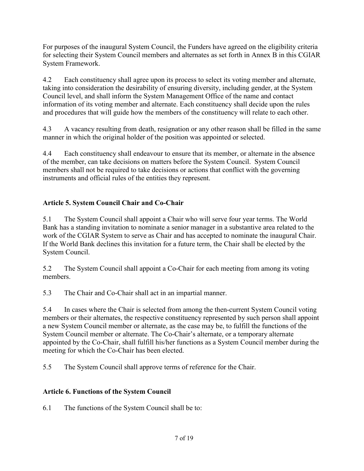For purposes of the inaugural System Council, the Funders have agreed on the eligibility criteria for selecting their System Council members and alternates as set forth in Annex B in this CGIAR System Framework.

4.2 Each constituency shall agree upon its process to select its voting member and alternate, taking into consideration the desirability of ensuring diversity, including gender, at the System Council level, and shall inform the System Management Office of the name and contact information of its voting member and alternate. Each constituency shall decide upon the rules and procedures that will guide how the members of the constituency will relate to each other.

4.3 A vacancy resulting from death, resignation or any other reason shall be filled in the same manner in which the original holder of the position was appointed or selected.

4.4 Each constituency shall endeavour to ensure that its member, or alternate in the absence of the member, can take decisions on matters before the System Council. System Council members shall not be required to take decisions or actions that conflict with the governing instruments and official rules of the entities they represent.

# <span id="page-7-0"></span>**Article 5. System Council Chair and Co-Chair**

5.1 The System Council shall appoint a Chair who will serve four year terms. The World Bank has a standing invitation to nominate a senior manager in a substantive area related to the work of the CGIAR System to serve as Chair and has accepted to nominate the inaugural Chair. If the World Bank declines this invitation for a future term, the Chair shall be elected by the System Council.

5.2 The System Council shall appoint a Co-Chair for each meeting from among its voting members.

5.3 The Chair and Co-Chair shall act in an impartial manner.

5.4 In cases where the Chair is selected from among the then-current System Council voting members or their alternates, the respective constituency represented by such person shall appoint a new System Council member or alternate, as the case may be, to fulfill the functions of the System Council member or alternate. The Co-Chair's alternate, or a temporary alternate appointed by the Co-Chair, shall fulfill his/her functions as a System Council member during the meeting for which the Co-Chair has been elected.

5.5 The System Council shall approve terms of reference for the Chair.

# <span id="page-7-1"></span>**Article 6. Functions of the System Council**

6.1 The functions of the System Council shall be to: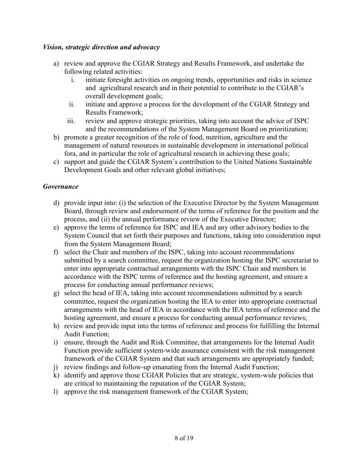#### *Vision, strategic direction and advocacy*

- a) review and approve the CGIAR Strategy and Results Framework, and undertake the following related activities:
	- i. initiate foresight activities on ongoing trends, opportunities and risks in science and agricultural research and in their potential to contribute to the CGIAR's overall development goals;
	- ii. initiate and approve a process for the development of the CGIAR Strategy and Results Framework;
	- iii. review and approve strategic priorities, taking into account the advice of ISPC and the recommendations of the System Management Board on prioritization;
- b) promote a greater recognition of the role of food, nutrition, agriculture and the management of natural resources in sustainable development in international political fora, and in particular the role of agricultural research in achieving these goals;
- c) support and guide the CGIAR System's contribution to the United Nations Sustainable Development Goals and other relevant global initiatives;

#### *Governance*

- d) provide input into: (i) the selection of the Executive Director by the System Management Board, through review and endorsement of the terms of reference for the position and the process, and (ii) the annual performance review of the Executive Director;
- e) approve the terms of reference for ISPC and IEA and any other advisory bodies to the System Council that set forth their purposes and functions, taking into consideration input from the System Management Board;
- f) select the Chair and members of the ISPC, taking into account recommendations submitted by a search committee, request the organization hosting the ISPC secretariat to enter into appropriate contractual arrangements with the ISPC Chair and members in accordance with the ISPC terms of reference and the hosting agreement, and ensure a process for conducting annual performance reviews;
- g) select the head of IEA, taking into account recommendations submitted by a search committee, request the organization hosting the IEA to enter into appropriate contractual arrangements with the head of IEA in accordance with the IEA terms of reference and the hosting agreement, and ensure a process for conducting annual performance reviews;
- h) review and provide input into the terms of reference and process for fulfilling the Internal Audit Function;
- i) ensure, through the Audit and Risk Committee, that arrangements for the Internal Audit Function provide sufficient system-wide assurance consistent with the risk management framework of the CGIAR System and that such arrangements are appropriately funded;
- j) review findings and follow-up emanating from the Internal Audit Function;
- k) identify and approve those CGIAR Policies that are strategic, system-wide policies that are critical to maintaining the reputation of the CGIAR System;
- l) approve the risk management framework of the CGIAR System;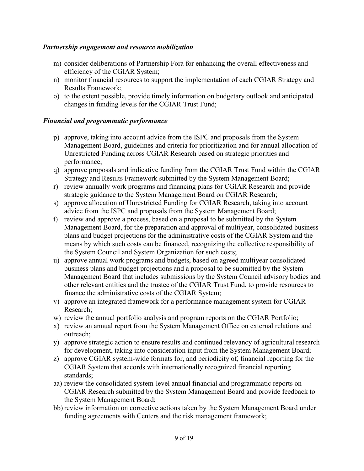#### *Partnership engagement and resource mobilization*

- m) consider deliberations of Partnership Fora for enhancing the overall effectiveness and efficiency of the CGIAR System;
- n) monitor financial resources to support the implementation of each CGIAR Strategy and Results Framework;
- o) to the extent possible, provide timely information on budgetary outlook and anticipated changes in funding levels for the CGIAR Trust Fund;

#### *Financial and programmatic performance*

- p) approve, taking into account advice from the ISPC and proposals from the System Management Board, guidelines and criteria for prioritization and for annual allocation of Unrestricted Funding across CGIAR Research based on strategic priorities and performance;
- q) approve proposals and indicative funding from the CGIAR Trust Fund within the CGIAR Strategy and Results Framework submitted by the System Management Board;
- r) review annually work programs and financing plans for CGIAR Research and provide strategic guidance to the System Management Board on CGIAR Research;
- s) approve allocation of Unrestricted Funding for CGIAR Research, taking into account advice from the ISPC and proposals from the System Management Board;
- t) review and approve a process, based on a proposal to be submitted by the System Management Board, for the preparation and approval of multiyear, consolidated business plans and budget projections for the administrative costs of the CGIAR System and the means by which such costs can be financed, recognizing the collective responsibility of the System Council and System Organization for such costs;
- u) approve annual work programs and budgets, based on agreed multiyear consolidated business plans and budget projections and a proposal to be submitted by the System Management Board that includes submissions by the System Council advisory bodies and other relevant entities and the trustee of the CGIAR Trust Fund, to provide resources to finance the administrative costs of the CGIAR System;
- v) approve an integrated framework for a performance management system for CGIAR Research;
- w) review the annual portfolio analysis and program reports on the CGIAR Portfolio;
- x) review an annual report from the System Management Office on external relations and outreach;
- y) approve strategic action to ensure results and continued relevancy of agricultural research for development, taking into consideration input from the System Management Board;
- z) approve CGIAR system-wide formats for, and periodicity of, financial reporting for the CGIAR System that accords with internationally recognized financial reporting standards;
- aa) review the consolidated system-level annual financial and programmatic reports on CGIAR Research submitted by the System Management Board and provide feedback to the System Management Board;
- bb) review information on corrective actions taken by the System Management Board under funding agreements with Centers and the risk management framework;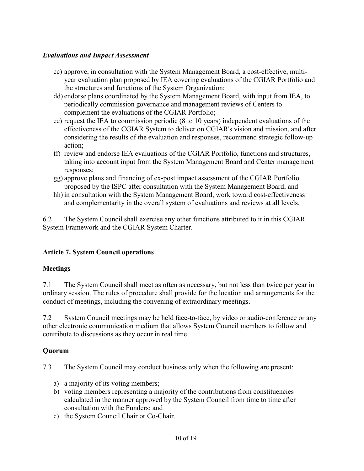#### *Evaluations and Impact Assessment*

- cc) approve, in consultation with the System Management Board, a cost-effective, multiyear evaluation plan proposed by IEA covering evaluations of the CGIAR Portfolio and the structures and functions of the System Organization;
- dd) endorse plans coordinated by the System Management Board, with input from IEA, to periodically commission governance and management reviews of Centers to complement the evaluations of the CGIAR Portfolio;
- ee) request the IEA to commission periodic (8 to 10 years) independent evaluations of the effectiveness of the CGIAR System to deliver on CGIAR's vision and mission, and after considering the results of the evaluation and responses, recommend strategic follow-up action;
- ff) review and endorse IEA evaluations of the CGIAR Portfolio, functions and structures, taking into account input from the System Management Board and Center management responses;
- gg) approve plans and financing of ex-post impact assessment of the CGIAR Portfolio proposed by the ISPC after consultation with the System Management Board; and
- hh) in consultation with the System Management Board, work toward cost-effectiveness and complementarity in the overall system of evaluations and reviews at all levels.

6.2 The System Council shall exercise any other functions attributed to it in this CGIAR System Framework and the CGIAR System Charter.

# <span id="page-10-0"></span>**Article 7. System Council operations**

#### **Meetings**

7.1 The System Council shall meet as often as necessary, but not less than twice per year in ordinary session. The rules of procedure shall provide for the location and arrangements for the conduct of meetings, including the convening of extraordinary meetings.

7.2 System Council meetings may be held face-to-face, by video or audio-conference or any other electronic communication medium that allows System Council members to follow and contribute to discussions as they occur in real time.

#### **Quorum**

7.3 The System Council may conduct business only when the following are present:

- a) a majority of its voting members;
- b) voting members representing a majority of the contributions from constituencies calculated in the manner approved by the System Council from time to time after consultation with the Funders; and
- c) the System Council Chair or Co-Chair.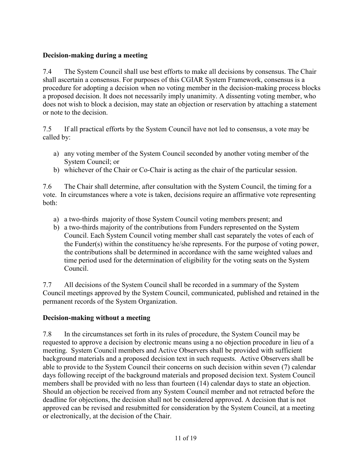# **Decision-making during a meeting**

7.4 The System Council shall use best efforts to make all decisions by consensus. The Chair shall ascertain a consensus. For purposes of this CGIAR System Framework, consensus is a procedure for adopting a decision when no voting member in the decision-making process blocks a proposed decision. It does not necessarily imply unanimity. A dissenting voting member, who does not wish to block a decision, may state an objection or reservation by attaching a statement or note to the decision.

7.5 If all practical efforts by the System Council have not led to consensus, a vote may be called by:

- a) any voting member of the System Council seconded by another voting member of the System Council; or
- b) whichever of the Chair or Co-Chair is acting as the chair of the particular session.

7.6 The Chair shall determine, after consultation with the System Council, the timing for a vote. In circumstances where a vote is taken, decisions require an affirmative vote representing both:

- a) a two-thirds majority of those System Council voting members present; and
- b) a two-thirds majority of the contributions from Funders represented on the System Council. Each System Council voting member shall cast separately the votes of each of the Funder(s) within the constituency he/she represents. For the purpose of voting power, the contributions shall be determined in accordance with the same weighted values and time period used for the determination of eligibility for the voting seats on the System Council.

7.7 All decisions of the System Council shall be recorded in a summary of the System Council meetings approved by the System Council, communicated, published and retained in the permanent records of the System Organization.

# **Decision-making without a meeting**

7.8 In the circumstances set forth in its rules of procedure, the System Council may be requested to approve a decision by electronic means using a no objection procedure in lieu of a meeting. System Council members and Active Observers shall be provided with sufficient background materials and a proposed decision text in such requests. Active Observers shall be able to provide to the System Council their concerns on such decision within seven (7) calendar days following receipt of the background materials and proposed decision text. System Council members shall be provided with no less than fourteen (14) calendar days to state an objection. Should an objection be received from any System Council member and not retracted before the deadline for objections, the decision shall not be considered approved. A decision that is not approved can be revised and resubmitted for consideration by the System Council, at a meeting or electronically, at the decision of the Chair.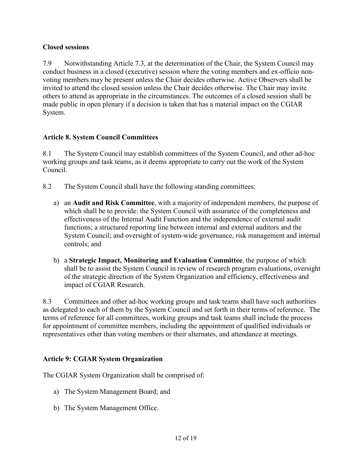# **Closed sessions**

7.9 Notwithstanding Article 7.3, at the determination of the Chair, the System Council may conduct business in a closed (executive) session where the voting members and ex-officio nonvoting members may be present unless the Chair decides otherwise. Active Observers shall be invited to attend the closed session unless the Chair decides otherwise. The Chair may invite others to attend as appropriate in the circumstances. The outcomes of a closed session shall be made public in open plenary if a decision is taken that has a material impact on the CGIAR System.

# <span id="page-12-0"></span>**Article 8. System Council Committees**

8.1 The System Council may establish committees of the System Council, and other ad-hoc working groups and task teams, as it deems appropriate to carry out the work of the System Council.

- 8.2 The System Council shall have the following standing committees:
	- a) an **Audit and Risk Committee**, with a majority of independent members, the purpose of which shall be to provide: the System Council with assurance of the completeness and effectiveness of the Internal Audit Function and the independence of external audit functions; a structured reporting line between internal and external auditors and the System Council; and oversight of system-wide governance, risk management and internal controls; and
	- b) a **Strategic Impact, Monitoring and Evaluation Committee**, the purpose of which shall be to assist the System Council in review of research program evaluations, oversight of the strategic direction of the System Organization and efficiency, effectiveness and impact of CGIAR Research.

8.3 Committees and other ad-hoc working groups and task teams shall have such authorities as delegated to each of them by the System Council and set forth in their terms of reference. The terms of reference for all committees, working groups and task teams shall include the process for appointment of committee members, including the appointment of qualified individuals or representatives other than voting members or their alternates, and attendance at meetings.

#### <span id="page-12-1"></span>**Article 9: CGIAR System Organization**

The CGIAR System Organization shall be comprised of:

- a) The System Management Board; and
- b) The System Management Office.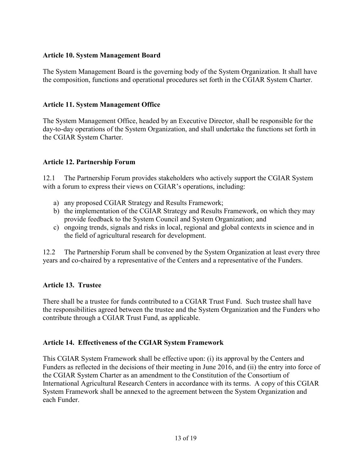#### <span id="page-13-0"></span>**Article 10. System Management Board**

The System Management Board is the governing body of the System Organization. It shall have the composition, functions and operational procedures set forth in the CGIAR System Charter.

#### <span id="page-13-1"></span>**Article 11. System Management Office**

The System Management Office, headed by an Executive Director, shall be responsible for the day-to-day operations of the System Organization, and shall undertake the functions set forth in the CGIAR System Charter.

#### <span id="page-13-2"></span>**Article 12. Partnership Forum**

12.1 The Partnership Forum provides stakeholders who actively support the CGIAR System with a forum to express their views on CGIAR's operations, including:

- a) any proposed CGIAR Strategy and Results Framework;
- b) the implementation of the CGIAR Strategy and Results Framework, on which they may provide feedback to the System Council and System Organization; and
- c) ongoing trends, signals and risks in local, regional and global contexts in science and in the field of agricultural research for development.

12.2 The Partnership Forum shall be convened by the System Organization at least every three years and co-chaired by a representative of the Centers and a representative of the Funders.

#### <span id="page-13-3"></span>**Article 13. Trustee**

There shall be a trustee for funds contributed to a CGIAR Trust Fund. Such trustee shall have the responsibilities agreed between the trustee and the System Organization and the Funders who contribute through a CGIAR Trust Fund, as applicable.

#### <span id="page-13-4"></span>**Article 14. Effectiveness of the CGIAR System Framework**

This CGIAR System Framework shall be effective upon: (i) its approval by the Centers and Funders as reflected in the decisions of their meeting in June 2016, and (ii) the entry into force of the CGIAR System Charter as an amendment to the Constitution of the Consortium of International Agricultural Research Centers in accordance with its terms. A copy of this CGIAR System Framework shall be annexed to the agreement between the System Organization and each Funder.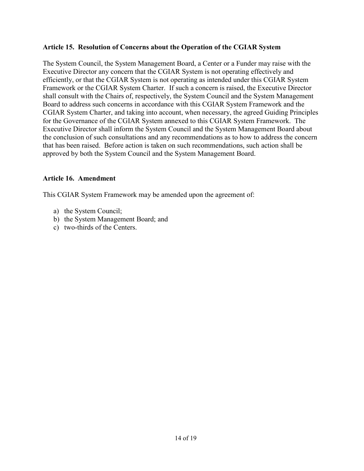#### <span id="page-14-0"></span>**Article 15. Resolution of Concerns about the Operation of the CGIAR System**

The System Council, the System Management Board, a Center or a Funder may raise with the Executive Director any concern that the CGIAR System is not operating effectively and efficiently, or that the CGIAR System is not operating as intended under this CGIAR System Framework or the CGIAR System Charter. If such a concern is raised, the Executive Director shall consult with the Chairs of, respectively, the System Council and the System Management Board to address such concerns in accordance with this CGIAR System Framework and the CGIAR System Charter, and taking into account, when necessary, the agreed Guiding Principles for the Governance of the CGIAR System annexed to this CGIAR System Framework. The Executive Director shall inform the System Council and the System Management Board about the conclusion of such consultations and any recommendations as to how to address the concern that has been raised. Before action is taken on such recommendations, such action shall be approved by both the System Council and the System Management Board.

#### <span id="page-14-1"></span>**Article 16. Amendment**

This CGIAR System Framework may be amended upon the agreement of:

- a) the System Council;
- b) the System Management Board; and
- c) two-thirds of the Centers.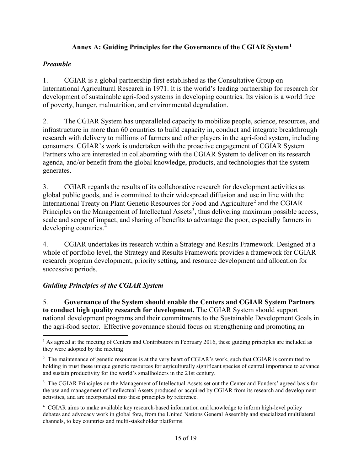# **Annex A: Guiding Principles for the Governance of the CGIAR System[1](#page-15-1)**

#### <span id="page-15-0"></span>*Preamble*

1. CGIAR is a global partnership first established as the Consultative Group on International Agricultural Research in 1971. It is the world's leading partnership for research for development of sustainable agri-food systems in developing countries. Its vision is a world free of poverty, hunger, malnutrition, and environmental degradation.

2. The CGIAR System has unparalleled capacity to mobilize people, science, resources, and infrastructure in more than 60 countries to build capacity in, conduct and integrate breakthrough research with delivery to millions of farmers and other players in the agri-food system, including consumers. CGIAR's work is undertaken with the proactive engagement of CGIAR System Partners who are interested in collaborating with the CGIAR System to deliver on its research agenda, and/or benefit from the global knowledge, products, and technologies that the system generates.

3. CGIAR regards the results of its collaborative research for development activities as global public goods, and is committed to their widespread diffusion and use in line with the International Treaty on Plant Genetic Resources for Food and Agriculture<sup>[2](#page-15-2)</sup> and the CGIAR Principles on the Management of Intellectual Assets<sup>[3](#page-15-3)</sup>, thus delivering maximum possible access, scale and scope of impact, and sharing of benefits to advantage the poor, especially farmers in developing countries.[4](#page-15-4)

4. CGIAR undertakes its research within a Strategy and Results Framework. Designed at a whole of portfolio level, the Strategy and Results Framework provides a framework for CGIAR research program development, priority setting, and resource development and allocation for successive periods.

# *Guiding Principles of the CGIAR System*

5. **Governance of the System should enable the Centers and CGIAR System Partners to conduct high quality research for development.** The CGIAR System should support national development programs and their commitments to the Sustainable Development Goals in the agri-food sector.Effective governance should focus on strengthening and promoting an

<span id="page-15-1"></span><sup>&</sup>lt;sup>1</sup> As agreed at the meeting of Centers and Contributors in February 2016, these guiding principles are included as they were adopted by the meeting  $\overline{\phantom{a}}$ 

<span id="page-15-2"></span><sup>&</sup>lt;sup>2</sup> The maintenance of genetic resources is at the very heart of CGIAR's work, such that CGIAR is committed to holding in trust these unique genetic resources for agriculturally significant species of central importance to advance and sustain productivity for the world's smallholders in the 21st century.

<span id="page-15-3"></span><sup>&</sup>lt;sup>3</sup> The CGIAR Principles on the Management of Intellectual Assets set out the Center and Funders' agreed basis for the use and management of Intellectual Assets produced or acquired by CGIAR from its research and development activities, and are incorporated into these principles by reference.

<span id="page-15-4"></span><sup>&</sup>lt;sup>4</sup> CGIAR aims to make available key research-based information and knowledge to inform high-level policy debates and advocacy work in global fora, from the United Nations General Assembly and specialized multilateral channels, to key countries and multi-stakeholder platforms.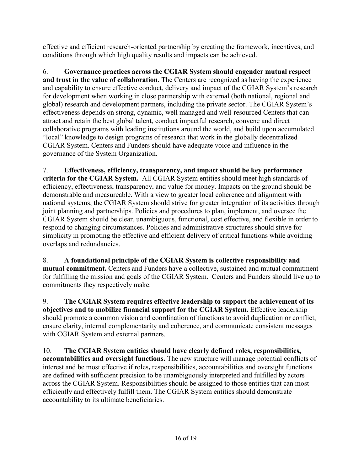effective and efficient research-oriented partnership by creating the framework, incentives, and conditions through which high quality results and impacts can be achieved.

6. **Governance practices across the CGIAR System should engender mutual respect and trust in the value of collaboration.** The Centers are recognized as having the experience and capability to ensure effective conduct, delivery and impact of the CGIAR System's research for development when working in close partnership with external (both national, regional and global) research and development partners, including the private sector. The CGIAR System's effectiveness depends on strong, dynamic, well managed and well-resourced Centers that can attract and retain the best global talent, conduct impactful research, convene and direct collaborative programs with leading institutions around the world, and build upon accumulated "local" knowledge to design programs of research that work in the globally decentralized CGIAR System. Centers and Funders should have adequate voice and influence in the governance of the System Organization.

7. **Effectiveness, efficiency, transparency, and impact should be key performance criteria for the CGIAR System.** All CGIAR System entities should meet high standards of efficiency, effectiveness, transparency, and value for money. Impacts on the ground should be demonstrable and measureable. With a view to greater local coherence and alignment with national systems, the CGIAR System should strive for greater integration of its activities through joint planning and partnerships. Policies and procedures to plan, implement, and oversee the CGIAR System should be clear, unambiguous, functional, cost effective, and flexible in order to respond to changing circumstances. Policies and administrative structures should strive for simplicity in promoting the effective and efficient delivery of critical functions while avoiding overlaps and redundancies.

8. **A foundational principle of the CGIAR System is collective responsibility and mutual commitment.** Centers and Funders have a collective, sustained and mutual commitment for fulfilling the mission and goals of the CGIAR System. Centers and Funders should live up to commitments they respectively make.

9. **The CGIAR System requires effective leadership to support the achievement of its objectives and to mobilize financial support for the CGIAR System.** Effective leadership should promote a common vision and coordination of functions to avoid duplication or conflict, ensure clarity, internal complementarity and coherence, and communicate consistent messages with CGIAR System and external partners.

10. **The CGIAR System entities should have clearly defined roles, responsibilities, accountabilities and oversight functions.** The new structure will manage potential conflicts of interest and be most effective if roles**,** responsibilities, accountabilities and oversight functions are defined with sufficient precision to be unambiguously interpreted and fulfilled by actors across the CGIAR System. Responsibilities should be assigned to those entities that can most efficiently and effectively fulfill them. The CGIAR System entities should demonstrate accountability to its ultimate beneficiaries.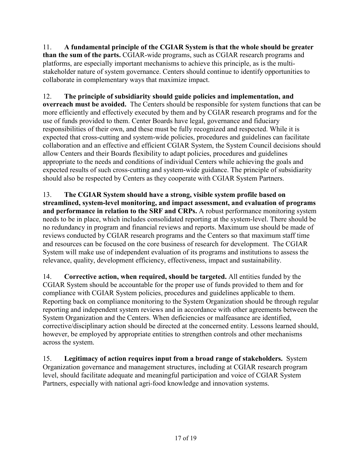11. **A fundamental principle of the CGIAR System is that the whole should be greater than the sum of the parts.** CGIAR-wide programs, such as CGIAR research programs and platforms, are especially important mechanisms to achieve this principle, as is the multistakeholder nature of system governance. Centers should continue to identify opportunities to collaborate in complementary ways that maximize impact.

12. **The principle of subsidiarity should guide policies and implementation, and overreach must be avoided.** The Centers should be responsible for system functions that can be more efficiently and effectively executed by them and by CGIAR research programs and for the use of funds provided to them. Center Boards have legal, governance and fiduciary responsibilities of their own, and these must be fully recognized and respected. While it is expected that cross-cutting and system-wide policies, procedures and guidelines can facilitate collaboration and an effective and efficient CGIAR System, the System Council decisions should allow Centers and their Boards flexibility to adapt policies, procedures and guidelines appropriate to the needs and conditions of individual Centers while achieving the goals and expected results of such cross-cutting and system-wide guidance. The principle of subsidiarity should also be respected by Centers as they cooperate with CGIAR System Partners.

13. **The CGIAR System should have a strong, visible system profile based on streamlined, system-level monitoring, and impact assessment, and evaluation of programs and performance in relation to the SRF and CRPs.** A robust performance monitoring system needs to be in place, which includes consolidated reporting at the system-level. There should be no redundancy in program and financial reviews and reports. Maximum use should be made of reviews conducted by CGIAR research programs and the Centers so that maximum staff time and resources can be focused on the core business of research for development.The CGIAR System will make use of independent evaluation of its programs and institutions to assess the relevance, quality, development efficiency, effectiveness, impact and sustainability.

14. **Corrective action, when required, should be targeted.** All entities funded by the CGIAR System should be accountable for the proper use of funds provided to them and for compliance with CGIAR System policies, procedures and guidelines applicable to them. Reporting back on compliance monitoring to the System Organization should be through regular reporting and independent system reviews and in accordance with other agreements between the System Organization and the Centers. When deficiencies or malfeasance are identified, corrective/disciplinary action should be directed at the concerned entity. Lessons learned should, however, be employed by appropriate entities to strengthen controls and other mechanisms across the system.

15. **Legitimacy of action requires input from a broad range of stakeholders.** System Organization governance and management structures, including at CGIAR research program level, should facilitate adequate and meaningful participation and voice of CGIAR System Partners, especially with national agri-food knowledge and innovation systems.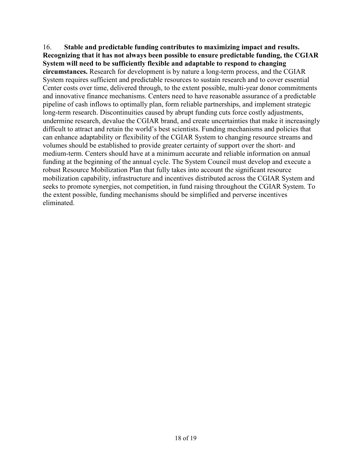16. **Stable and predictable funding contributes to maximizing impact and results. Recognizing that it has not always been possible to ensure predictable funding, the CGIAR System will need to be sufficiently flexible and adaptable to respond to changing circumstances.** Research for development is by nature a long-term process, and the CGIAR System requires sufficient and predictable resources to sustain research and to cover essential Center costs over time, delivered through, to the extent possible, multi-year donor commitments and innovative finance mechanisms. Centers need to have reasonable assurance of a predictable pipeline of cash inflows to optimally plan, form reliable partnerships, and implement strategic long-term research. Discontinuities caused by abrupt funding cuts force costly adjustments, undermine research, devalue the CGIAR brand, and create uncertainties that make it increasingly difficult to attract and retain the world's best scientists. Funding mechanisms and policies that can enhance adaptability or flexibility of the CGIAR System to changing resource streams and volumes should be established to provide greater certainty of support over the short- and medium-term. Centers should have at a minimum accurate and reliable information on annual funding at the beginning of the annual cycle. The System Council must develop and execute a robust Resource Mobilization Plan that fully takes into account the significant resource mobilization capability, infrastructure and incentives distributed across the CGIAR System and seeks to promote synergies, not competition, in fund raising throughout the CGIAR System. To the extent possible, funding mechanisms should be simplified and perverse incentives eliminated.